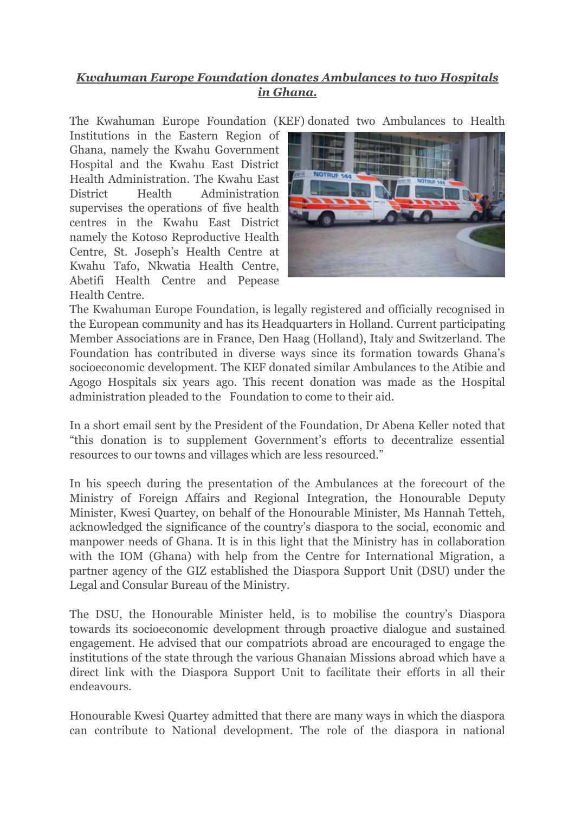## *Kwahuman Europe Foundation donates Ambulances to two Hospitals in Ghana.*

The Kwahuman Europe Foundation (KEF) donated two Ambulances to Health

Institutions in the Eastern Region of Ghana, namely the Kwahu Government Hospital and the Kwahu East District Health Administration. The Kwahu East District Health Administration supervises the operations of five health centres in the Kwahu East District namely the Kotoso Reproductive Health Centre, St. Joseph's Health Centre at Kwahu Tafo, Nkwatia Health Centre, Abetifi Health Centre and Pepease Health Centre.



The Kwahuman Europe Foundation, is legally registered and officially recognised in the European community and has its Headquarters in Holland. Current participating Member Associations are in France, Den Haag (Holland), Italy and Switzerland. The Foundation has contributed in diverse ways since its formation towards Ghana's socioeconomic development. The KEF donated similar Ambulances to the Atibie and Agogo Hospitals six years ago. This recent donation was made as the Hospital administration pleaded to the Foundation to come to their aid.

In a short email sent by the President of the Foundation, Dr Abena Keller noted that "this donation is to supplement Government's efforts to decentralize essential resources to our towns and villages which are less resourced."

In his speech during the presentation of the Ambulances at the forecourt of the Ministry of Foreign Affairs and Regional Integration, the Honourable Deputy Minister, Kwesi Quartey, on behalf of the Honourable Minister, Ms Hannah Tetteh, acknowledged the significance of the country's diaspora to the social, economic and manpower needs of Ghana. It is in this light that the Ministry has in collaboration with the IOM (Ghana) with help from the Centre for International Migration, a partner agency of the GIZ established the Diaspora Support Unit (DSU) under the Legal and Consular Bureau of the Ministry.

The DSU, the Honourable Minister held, is to mobilise the country's Diaspora towards its socioeconomic development through proactive dialogue and sustained engagement. He advised that our compatriots abroad are encouraged to engage the institutions of the state through the various Ghanaian Missions abroad which have a direct link with the Diaspora Support Unit to facilitate their efforts in all their endeavours.

Honourable Kwesi Quartey admitted that there are many ways in which the diaspora can contribute to National development. The role of the diaspora in national